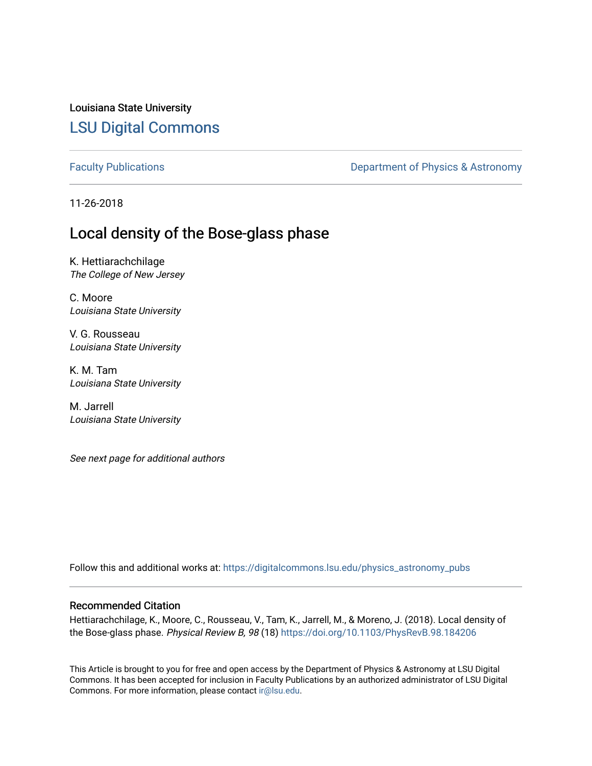Louisiana State University [LSU Digital Commons](https://digitalcommons.lsu.edu/)

[Faculty Publications](https://digitalcommons.lsu.edu/physics_astronomy_pubs) **Exercise 2 and Table 2 and Table 2 and Table 2 and Table 2 and Table 2 and Table 2 and Table 2 and Table 2 and Table 2 and Table 2 and Table 2 and Table 2 and Table 2 and Table 2 and Table 2 and Table** 

11-26-2018

## Local density of the Bose-glass phase

K. Hettiarachchilage The College of New Jersey

C. Moore Louisiana State University

V. G. Rousseau Louisiana State University

K. M. Tam Louisiana State University

M. Jarrell Louisiana State University

See next page for additional authors

Follow this and additional works at: [https://digitalcommons.lsu.edu/physics\\_astronomy\\_pubs](https://digitalcommons.lsu.edu/physics_astronomy_pubs?utm_source=digitalcommons.lsu.edu%2Fphysics_astronomy_pubs%2F3566&utm_medium=PDF&utm_campaign=PDFCoverPages) 

#### Recommended Citation

Hettiarachchilage, K., Moore, C., Rousseau, V., Tam, K., Jarrell, M., & Moreno, J. (2018). Local density of the Bose-glass phase. Physical Review B, 98 (18) <https://doi.org/10.1103/PhysRevB.98.184206>

This Article is brought to you for free and open access by the Department of Physics & Astronomy at LSU Digital Commons. It has been accepted for inclusion in Faculty Publications by an authorized administrator of LSU Digital Commons. For more information, please contact [ir@lsu.edu](mailto:ir@lsu.edu).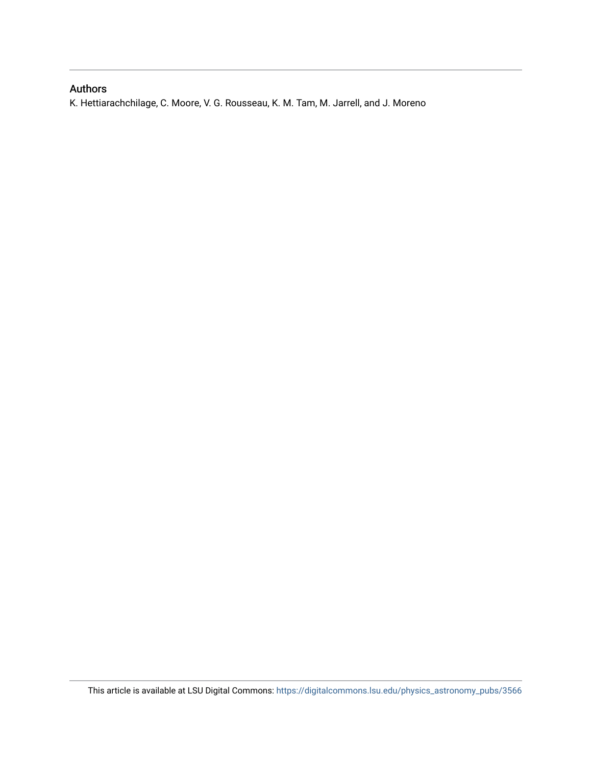### Authors

K. Hettiarachchilage, C. Moore, V. G. Rousseau, K. M. Tam, M. Jarrell, and J. Moreno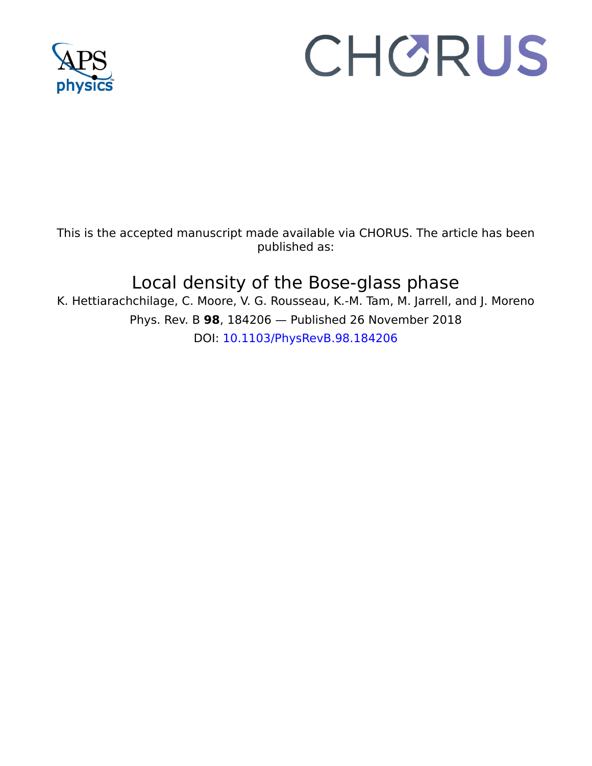

# CHORUS

This is the accepted manuscript made available via CHORUS. The article has been published as:

# Local density of the Bose-glass phase

K. Hettiarachchilage, C. Moore, V. G. Rousseau, K.-M. Tam, M. Jarrell, and J. Moreno Phys. Rev. B **98**, 184206 — Published 26 November 2018 DOI: [10.1103/PhysRevB.98.184206](http://dx.doi.org/10.1103/PhysRevB.98.184206)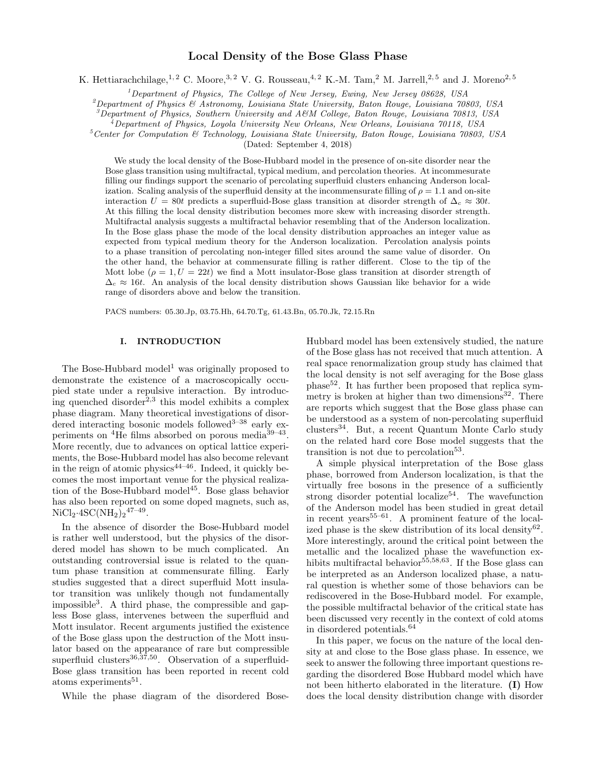#### Local Density of the Bose Glass Phase

K. Hettiarachchilage,<sup>1, 2</sup> C. Moore,<sup>3, 2</sup> V. G. Rousseau,<sup>4, 2</sup> K.-M. Tam,<sup>2</sup> M. Jarrell,<sup>2, 5</sup> and J. Moreno<sup>2, 5</sup>

 $1$ Department of Physics, The College of New Jersey, Ewing, New Jersey 08628, USA

 $^{2}$ Department of Physics & Astronomy, Louisiana State University, Baton Rouge, Louisiana 70803, USA

 $3$ Department of Physics, Southern University and A&M College, Baton Rouge, Louisiana 70813, USA

 $^{4}$ Department of Physics, Loyola University New Orleans, New Orleans, Louisiana 70118, USA

 $5$ Center for Computation & Technology, Louisiana State University, Baton Rouge, Louisiana 70803, USA

(Dated: September 4, 2018)

We study the local density of the Bose-Hubbard model in the presence of on-site disorder near the Bose glass transition using multifractal, typical medium, and percolation theories. At incommesurate filling our findings support the scenario of percolating superfluid clusters enhancing Anderson localization. Scaling analysis of the superfluid density at the incommensurate filling of  $\rho = 1.1$  and on-site interaction  $U = 80t$  predicts a superfluid-Bose glass transition at disorder strength of  $\Delta_c \approx 30t$ . At this filling the local density distribution becomes more skew with increasing disorder strength. Multifractal analysis suggests a multifractal behavior resembling that of the Anderson localization. In the Bose glass phase the mode of the local density distribution approaches an integer value as expected from typical medium theory for the Anderson localization. Percolation analysis points to a phase transition of percolating non-integer filled sites around the same value of disorder. On the other hand, the behavior at commensurate filling is rather different. Close to the tip of the Mott lobe  $(\rho = 1, U = 22t)$  we find a Mott insulator-Bose glass transition at disorder strength of  $\Delta_c \approx 16t$ . An analysis of the local density distribution shows Gaussian like behavior for a wide range of disorders above and below the transition.

PACS numbers: 05.30.Jp, 03.75.Hh, 64.70.Tg, 61.43.Bn, 05.70.Jk, 72.15.Rn

#### I. INTRODUCTION

The Bose-Hubbard model<sup>1</sup> was originally proposed to demonstrate the existence of a macroscopically occupied state under a repulsive interaction. By introducing quenched disorder<sup>2,3</sup> this model exhibits a complex phase diagram. Many theoretical investigations of disordered interacting bosonic models followed<sup>3-38</sup> early experiments on  ${}^{4}$ He films absorbed on porous media ${}^{39-43}$ . More recently, due to advances on optical lattice experiments, the Bose-Hubbard model has also become relevant in the reign of atomic physics<sup>44–46</sup>. Indeed, it quickly becomes the most important venue for the physical realization of the Bose-Hubbard model<sup>45</sup>. Bose glass behavior has also been reported on some doped magnets, such as,  $NiCl<sub>2</sub>·4SC(NH<sub>2</sub>)<sub>2</sub><sup>47-49</sup>.$ 

In the absence of disorder the Bose-Hubbard model is rather well understood, but the physics of the disordered model has shown to be much complicated. An outstanding controversial issue is related to the quantum phase transition at commensurate filling. Early studies suggested that a direct superfluid Mott insulator transition was unlikely though not fundamentally impossible<sup>3</sup> . A third phase, the compressible and gapless Bose glass, intervenes between the superfluid and Mott insulator. Recent arguments justified the existence of the Bose glass upon the destruction of the Mott insulator based on the appearance of rare but compressible superfluid clusters<sup>36,37,50</sup>. Observation of a superfluid-Bose glass transition has been reported in recent cold atoms experiments<sup>51</sup>.

While the phase diagram of the disordered Bose-

Hubbard model has been extensively studied, the nature of the Bose glass has not received that much attention. A real space renormalization group study has claimed that the local density is not self averaging for the Bose glass phase<sup>52</sup>. It has further been proposed that replica symmetry is broken at higher than two dimensions $32$ . There are reports which suggest that the Bose glass phase can be understood as a system of non-percolating superfluid  $clusters<sup>34</sup>$ . But, a recent Quantum Monte Carlo study on the related hard core Bose model suggests that the transition is not due to percolation<sup>53</sup>.

A simple physical interpretation of the Bose glass phase, borrowed from Anderson localization, is that the virtually free bosons in the presence of a sufficiently strong disorder potential localize<sup>54</sup>. The wavefunction of the Anderson model has been studied in great detail in recent years<sup>55–61</sup>. A prominent feature of the localized phase is the skew distribution of its local density  $62$ . More interestingly, around the critical point between the metallic and the localized phase the wavefunction exhibits multifractal behavior<sup>55,58,63</sup>. If the Bose glass can be interpreted as an Anderson localized phase, a natural question is whether some of those behaviors can be rediscovered in the Bose-Hubbard model. For example, the possible multifractal behavior of the critical state has been discussed very recently in the context of cold atoms in disordered potentials.<sup>64</sup>

In this paper, we focus on the nature of the local density at and close to the Bose glass phase. In essence, we seek to answer the following three important questions regarding the disordered Bose Hubbard model which have not been hitherto elaborated in the literature. (I) How does the local density distribution change with disorder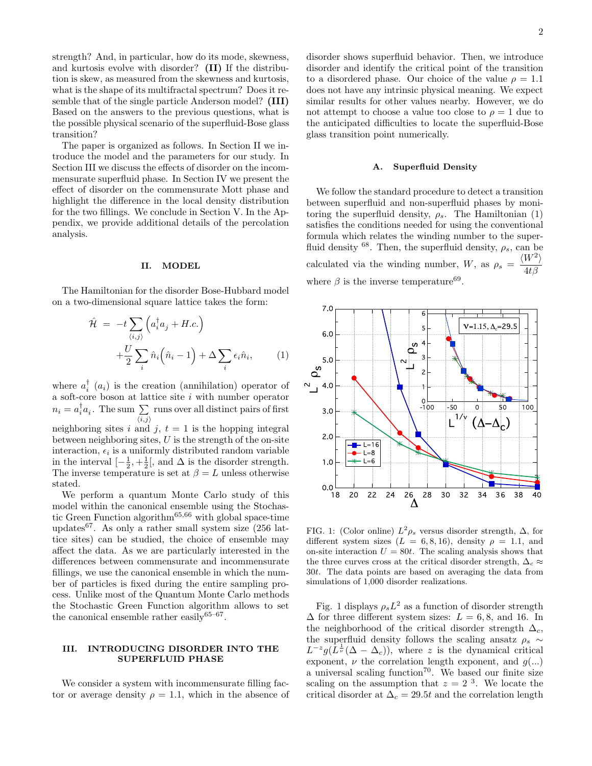strength? And, in particular, how do its mode, skewness, and kurtosis evolve with disorder? (II) If the distribution is skew, as measured from the skewness and kurtosis, what is the shape of its multifractal spectrum? Does it resemble that of the single particle Anderson model? (III) Based on the answers to the previous questions, what is the possible physical scenario of the superfluid-Bose glass transition?

The paper is organized as follows. In Section II we introduce the model and the parameters for our study. In Section III we discuss the effects of disorder on the incommensurate superfluid phase. In Section IV we present the effect of disorder on the commensurate Mott phase and highlight the difference in the local density distribution for the two fillings. We conclude in Section V. In the Appendix, we provide additional details of the percolation analysis.

#### II. MODEL

The Hamiltonian for the disorder Bose-Hubbard model on a two-dimensional square lattice takes the form:

$$
\hat{\mathcal{H}} = -t \sum_{\langle i,j \rangle} \left( a_i^\dagger a_j + H.c. \right) \n+ \frac{U}{2} \sum_i \hat{n}_i \left( \hat{n}_i - 1 \right) + \Delta \sum_i \epsilon_i \hat{n}_i, \tag{1}
$$

where  $a_i^{\dagger}$  ( $a_i$ ) is the creation (annihilation) operator of a soft-core boson at lattice site  $i$  with number operator  $n_i = a_i^{\dagger} a_i$ . The sum  $\sum$  $\langle i,j \rangle$ runs over all distinct pairs of first neighboring sites i and j,  $t = 1$  is the hopping integral between neighboring sites,  $U$  is the strength of the on-site interaction,  $\epsilon_i$  is a uniformly distributed random variable in the interval  $\left[-\frac{1}{2},+\frac{1}{2}\right]$ , and  $\Delta$  is the disorder strength. The inverse temperature is set at  $\beta = L$  unless otherwise stated.

We perform a quantum Monte Carlo study of this model within the canonical ensemble using the Stochastic Green Function algorithm65,66 with global space-time updates<sup>67</sup>. As only a rather small system size  $(256 \text{ lat-}$ tice sites) can be studied, the choice of ensemble may affect the data. As we are particularly interested in the differences between commensurate and incommensurate fillings, we use the canonical ensemble in which the number of particles is fixed during the entire sampling process. Unlike most of the Quantum Monte Carlo methods the Stochastic Green Function algorithm allows to set the canonical ensemble rather easily  $65-67$ .

#### III. INTRODUCING DISORDER INTO THE SUPERFLUID PHASE

We consider a system with incommensurate filling factor or average density  $\rho = 1.1$ , which in the absence of disorder shows superfluid behavior. Then, we introduce disorder and identify the critical point of the transition to a disordered phase. Our choice of the value  $\rho = 1.1$ does not have any intrinsic physical meaning. We expect similar results for other values nearby. However, we do not attempt to choose a value too close to  $\rho = 1$  due to the anticipated difficulties to locate the superfluid-Bose glass transition point numerically.

#### A. Superfluid Density

We follow the standard procedure to detect a transition between superfluid and non-superfluid phases by monitoring the superfluid density,  $\rho_s$ . The Hamiltonian (1) satisfies the conditions needed for using the conventional formula which relates the winding number to the superfluid density <sup>68</sup>. Then, the superfluid density,  $\rho_s$ , can be calculated via the winding number, W, as  $\rho_s = \frac{\langle W^2 \rangle}{44 \rho}$  $4t\beta$ where  $\beta$  is the inverse temperature<sup>69</sup>.



FIG. 1: (Color online)  $L^2 \rho_s$  versus disorder strength,  $\Delta$ , for different system sizes  $(L = 6, 8, 16)$ , density  $\rho = 1.1$ , and on-site interaction  $U = 80t$ . The scaling analysis shows that the three curves cross at the critical disorder strength,  $\Delta_c \approx$ 30t. The data points are based on averaging the data from simulations of 1,000 disorder realizations.

Fig. 1 displays  $\rho_s L^2$  as a function of disorder strength  $\Delta$  for three different system sizes:  $L = 6, 8$ , and 16. In the neighborhood of the critical disorder strength  $\Delta_c$ , the superfluid density follows the scaling ansatz  $\rho_s \sim$  $L^{-z}g(L^{\frac{1}{\nu}}(\Delta-\Delta_c))$ , where z is the dynamical critical exponent,  $\nu$  the correlation length exponent, and  $q(\ldots)$ a universal scaling function<sup>70</sup>. We based our finite size scaling on the assumption that  $z = 2<sup>3</sup>$ . We locate the critical disorder at  $\Delta_c = 29.5t$  and the correlation length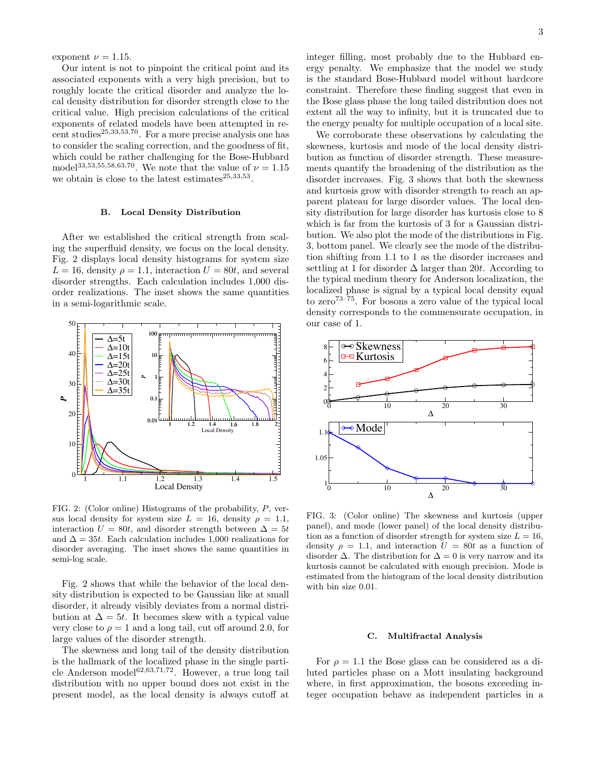exponent  $\nu = 1.15$ .

Our intent is not to pinpoint the critical point and its associated exponents with a very high precision, but to roughly locate the critical disorder and analyze the local density distribution for disorder strength close to the critical value. High precision calculations of the critical exponents of related models have been attempted in recent studies<sup>25,33,53,70</sup>. For a more precise analysis one has to consider the scaling correction, and the goodness of fit, which could be rather challenging for the Bose-Hubbard model<sup>33,53,55,58,63,70</sup>. We note that the value of  $\nu = 1.15$ we obtain is close to the latest estimates $^{25,33,53}$ .

#### B. Local Density Distribution

After we established the critical strength from scaling the superfluid density, we focus on the local density. Fig. 2 displays local density histograms for system size  $L = 16$ , density  $\rho = 1.1$ , interaction  $U = 80t$ , and several disorder strengths. Each calculation includes 1,000 disorder realizations. The inset shows the same quantities in a semi-logarithmic scale.



FIG. 2: (Color online) Histograms of the probability, P, versus local density for system size  $L = 16$ , density  $\rho = 1.1$ , interaction  $U = 80t$ , and disorder strength between  $\Delta = 5t$ and  $\Delta = 35t$ . Each calculation includes 1,000 realizations for disorder averaging. The inset shows the same quantities in semi-log scale.

Fig. 2 shows that while the behavior of the local density distribution is expected to be Gaussian like at small disorder, it already visibly deviates from a normal distribution at  $\Delta = 5t$ . It becomes skew with a typical value very close to  $\rho = 1$  and a long tail, cut off around 2.0, for large values of the disorder strength.

The skewness and long tail of the density distribution is the hallmark of the localized phase in the single particle Anderson model<sup>62,63,71,72</sup>. However, a true long tail distribution with no upper bound does not exist in the present model, as the local density is always cutoff at

integer filling, most probably due to the Hubbard energy penalty. We emphasize that the model we study is the standard Bose-Hubbard model without hardcore constraint. Therefore these finding suggest that even in the Bose glass phase the long tailed distribution does not extent all the way to infinity, but it is truncated due to the energy penalty for multiple occupation of a local site.

We corroborate these observations by calculating the skewness, kurtosis and mode of the local density distribution as function of disorder strength. These measurements quantify the broadening of the distribution as the disorder increases. Fig. 3 shows that both the skewness and kurtosis grow with disorder strength to reach an apparent plateau for large disorder values. The local density distribution for large disorder has kurtosis close to 8 which is far from the kurtosis of 3 for a Gaussian distribution. We also plot the mode of the distributions in Fig. 3, bottom panel. We clearly see the mode of the distribution shifting from 1.1 to 1 as the disorder increases and settling at 1 for disorder  $\Delta$  larger than 20t. According to the typical medium theory for Anderson localization, the localized phase is signal by a typical local density equal to zero<sup>73–75</sup>. For bosons a zero value of the typical local density corresponds to the commensurate occupation, in our case of 1.



FIG. 3: (Color online) The skewness and kurtosis (upper panel), and mode (lower panel) of the local density distribution as a function of disorder strength for system size  $L = 16$ , density  $\rho = 1.1$ , and interaction  $U = 80t$  as a function of disorder  $\Delta$ . The distribution for  $\Delta = 0$  is very narrow and its kurtosis cannot be calculated with enough precision. Mode is estimated from the histogram of the local density distribution with bin size 0.01.

#### C. Multifractal Analysis

For  $\rho = 1.1$  the Bose glass can be considered as a diluted particles phase on a Mott insulating background where, in first approximation, the bosons exceeding integer occupation behave as independent particles in a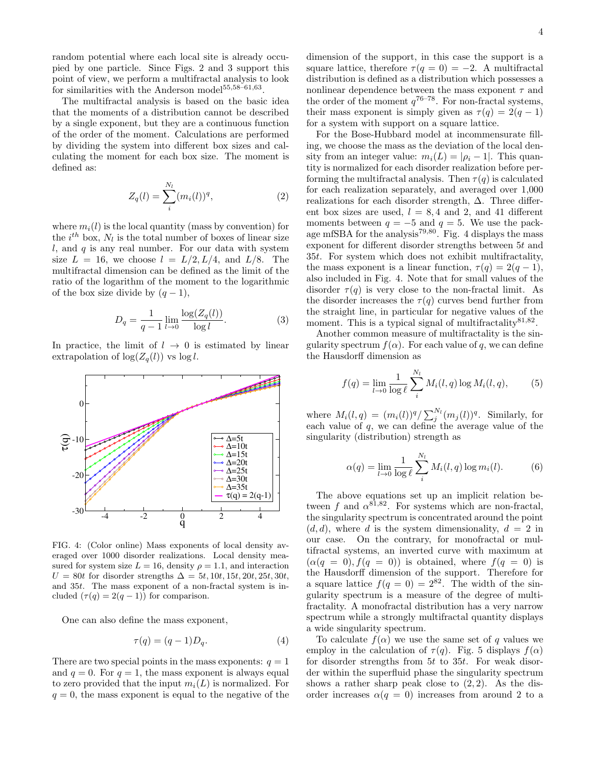random potential where each local site is already occupied by one particle. Since Figs. 2 and 3 support this point of view, we perform a multifractal analysis to look for similarities with the Anderson model<sup>55,58–61,63</sup>.

The multifractal analysis is based on the basic idea that the moments of a distribution cannot be described by a single exponent, but they are a continuous function of the order of the moment. Calculations are performed by dividing the system into different box sizes and calculating the moment for each box size. The moment is defined as:

$$
Z_q(l) = \sum_{i}^{N_l} (m_i(l))^q,
$$
\n(2)

where  $m_i(l)$  is the local quantity (mass by convention) for the  $i^{th}$  box,  $N_l$  is the total number of boxes of linear size  $l$ , and  $q$  is any real number. For our data with system size  $L = 16$ , we choose  $l = L/2, L/4$ , and  $L/8$ . The multifractal dimension can be defined as the limit of the ratio of the logarithm of the moment to the logarithmic of the box size divide by  $(q-1)$ ,

$$
D_q = \frac{1}{q - 1} \lim_{l \to 0} \frac{\log(Z_q(l))}{\log l}.
$$
 (3)

In practice, the limit of  $l \rightarrow 0$  is estimated by linear extrapolation of  $\log(Z_q(l))$  vs  $\log l$ .



FIG. 4: (Color online) Mass exponents of local density averaged over 1000 disorder realizations. Local density measured for system size  $L = 16$ , density  $\rho = 1.1$ , and interaction  $U = 80t$  for disorder strengths  $\Delta = 5t$ , 10t, 15t, 20t, 25t, 30t, and 35t. The mass exponent of a non-fractal system is included  $(\tau(q) = 2(q-1))$  for comparison.

One can also define the mass exponent,

$$
\tau(q) = (q-1)D_q. \tag{4}
$$

There are two special points in the mass exponents:  $q = 1$ and  $q = 0$ . For  $q = 1$ , the mass exponent is always equal to zero provided that the input  $m_i(L)$  is normalized. For  $q = 0$ , the mass exponent is equal to the negative of the dimension of the support, in this case the support is a square lattice, therefore  $\tau(q=0) = -2$ . A multifractal distribution is defined as a distribution which possesses a nonlinear dependence between the mass exponent  $\tau$  and the order of the moment  $q^{76-78}$ . For non-fractal systems, their mass exponent is simply given as  $\tau(q) = 2(q-1)$ for a system with support on a square lattice.

For the Bose-Hubbard model at incommensurate filling, we choose the mass as the deviation of the local density from an integer value:  $m_i(L) = |\rho_i - 1|$ . This quantity is normalized for each disorder realization before performing the multifractal analysis. Then  $\tau(q)$  is calculated for each realization separately, and averaged over 1,000 realizations for each disorder strength,  $\Delta$ . Three different box sizes are used,  $l = 8, 4$  and 2, and 41 different moments between  $q = -5$  and  $q = 5$ . We use the package mfSBA for the analysis<sup>79,80</sup>. Fig. 4 displays the mass exponent for different disorder strengths between 5t and 35t. For system which does not exhibit multifractality, the mass exponent is a linear function,  $\tau(q) = 2(q-1)$ , also included in Fig. 4. Note that for small values of the disorder  $\tau(q)$  is very close to the non-fractal limit. As the disorder increases the  $\tau(q)$  curves bend further from the straight line, in particular for negative values of the moment. This is a typical signal of multifractality  $81,82$ .

Another common measure of multifractality is the singularity spectrum  $f(\alpha)$ . For each value of q, we can define the Hausdorff dimension as

$$
f(q) = \lim_{l \to 0} \frac{1}{\log \ell} \sum_{i}^{N_l} M_i(l, q) \log M_i(l, q), \tag{5}
$$

where  $M_i(l,q) = (m_i(l))^q / \sum_j^{N_l} (m_j(l))^q$ . Similarly, for each value of q, we can define the average value of the singularity (distribution) strength as

$$
\alpha(q) = \lim_{l \to 0} \frac{1}{\log l} \sum_{i=1}^{N_l} M_i(l, q) \log m_i(l). \tag{6}
$$

The above equations set up an implicit relation between f and  $\alpha^{81,82}$ . For systems which are non-fractal, the singularity spectrum is concentrated around the point  $(d, d)$ , where d is the system dimensionality,  $d = 2$  in our case. On the contrary, for monofractal or multifractal systems, an inverted curve with maximum at  $(\alpha(q = 0), f(q = 0))$  is obtained, where  $f(q = 0)$  is the Hausdorff dimension of the support. Therefore for a square lattice  $f(q = 0) = 2^{82}$ . The width of the singularity spectrum is a measure of the degree of multifractality. A monofractal distribution has a very narrow spectrum while a strongly multifractal quantity displays a wide singularity spectrum.

To calculate  $f(\alpha)$  we use the same set of q values we employ in the calculation of  $\tau(q)$ . Fig. 5 displays  $f(\alpha)$ for disorder strengths from 5t to 35t. For weak disorder within the superfluid phase the singularity spectrum shows a rather sharp peak close to  $(2, 2)$ . As the disorder increases  $\alpha(q = 0)$  increases from around 2 to a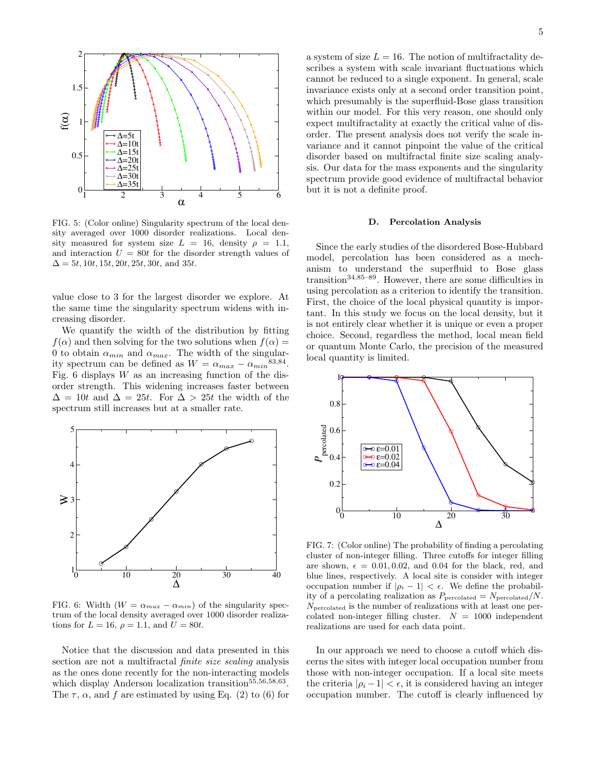

FIG. 5: (Color online) Singularity spectrum of the local density averaged over 1000 disorder realizations. Local density measured for system size  $L = 16$ , density  $\rho = 1.1$ , and interaction  $U = 80t$  for the disorder strength values of  $\Delta = 5t, 10t, 15t, 20t, 25t, 30t,$  and 35t.

value close to 3 for the largest disorder we explore. At the same time the singularity spectrum widens with increasing disorder.

We quantify the width of the distribution by fitting  $f(\alpha)$  and then solving for the two solutions when  $f(\alpha) =$ 0 to obtain  $\alpha_{min}$  and  $\alpha_{max}$ . The width of the singularity spectrum can be defined as  $W = \alpha_{max} - \alpha_{min}^{83,84}$ . Fig. 6 displays  $W$  as an increasing function of the disorder strength. This widening increases faster between  $\Delta = 10t$  and  $\Delta = 25t$ . For  $\Delta > 25t$  the width of the spectrum still increases but at a smaller rate.



FIG. 6: Width ( $W = \alpha_{max} - \alpha_{min}$ ) of the singularity spectrum of the local density averaged over 1000 disorder realizations for  $L = 16$ ,  $\rho = 1.1$ , and  $U = 80t$ .

Notice that the discussion and data presented in this section are not a multifractal finite size scaling analysis as the ones done recently for the non-interacting models which display Anderson localization transition<sup>55,56,58,63</sup>. The  $\tau$ ,  $\alpha$ , and f are estimated by using Eq. (2) to (6) for

a system of size  $L = 16$ . The notion of multifractality describes a system with scale invariant fluctuations which cannot be reduced to a single exponent. In general, scale invariance exists only at a second order transition point, which presumably is the superfluid-Bose glass transition within our model. For this very reason, one should only expect multifractality at exactly the critical value of disorder. The present analysis does not verify the scale invariance and it cannot pinpoint the value of the critical disorder based on multifractal finite size scaling analysis. Our data for the mass exponents and the singularity spectrum provide good evidence of multifractal behavior but it is not a definite proof.

#### D. Percolation Analysis

Since the early studies of the disordered Bose-Hubbard model, percolation has been considered as a mechanism to understand the superfluid to Bose glass transition34,85–89. However, there are some difficulties in using percolation as a criterion to identify the transition. First, the choice of the local physical quantity is important. In this study we focus on the local density, but it is not entirely clear whether it is unique or even a proper choice. Second, regardless the method, local mean field or quantum Monte Carlo, the precision of the measured local quantity is limited.



FIG. 7: (Color online) The probability of finding a percolating cluster of non-integer filling. Three cutoffs for integer filling are shown,  $\epsilon = 0.01, 0.02,$  and 0.04 for the black, red, and blue lines, respectively. A local site is consider with integer occupation number if  $|\rho_i - 1| < \epsilon$ . We define the probability of a percolating realization as  $P_{\text{percolated}} = N_{\text{percolated}}/N$ .  $N_{\text{percolated}}$  is the number of realizations with at least one percolated non-integer filling cluster.  $N = 1000$  independent realizations are used for each data point.

In our approach we need to choose a cutoff which discerns the sites with integer local occupation number from those with non-integer occupation. If a local site meets the criteria  $|\rho_i - 1| < \epsilon$ , it is considered having an integer occupation number. The cutoff is clearly influenced by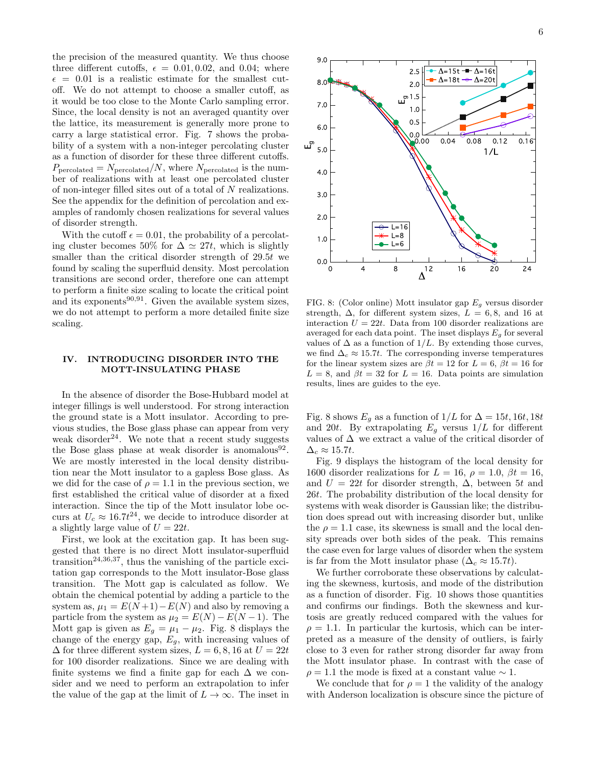the precision of the measured quantity. We thus choose three different cutoffs,  $\epsilon = 0.01, 0.02,$  and 0.04; where  $\epsilon = 0.01$  is a realistic estimate for the smallest cutoff. We do not attempt to choose a smaller cutoff, as it would be too close to the Monte Carlo sampling error. Since, the local density is not an averaged quantity over the lattice, its measurement is generally more prone to carry a large statistical error. Fig. 7 shows the probability of a system with a non-integer percolating cluster as a function of disorder for these three different cutoffs.  $P_{\text{percolated}} = N_{\text{percolated}}/N$ , where  $N_{\text{percolated}}$  is the number of realizations with at least one percolated cluster of non-integer filled sites out of a total of N realizations. See the appendix for the definition of percolation and examples of randomly chosen realizations for several values of disorder strength.

With the cutoff  $\epsilon = 0.01$ , the probability of a percolating cluster becomes 50% for  $\Delta \simeq 27t$ , which is slightly smaller than the critical disorder strength of 29.5t we found by scaling the superfluid density. Most percolation transitions are second order, therefore one can attempt to perform a finite size scaling to locate the critical point and its exponents $90,91$ . Given the available system sizes, we do not attempt to perform a more detailed finite size scaling.

#### IV. INTRODUCING DISORDER INTO THE MOTT-INSULATING PHASE

In the absence of disorder the Bose-Hubbard model at integer fillings is well understood. For strong interaction the ground state is a Mott insulator. According to previous studies, the Bose glass phase can appear from very weak disorder<sup>24</sup>. We note that a recent study suggests the Bose glass phase at weak disorder is anomalous<sup>92</sup>. We are mostly interested in the local density distribution near the Mott insulator to a gapless Bose glass. As we did for the case of  $\rho = 1.1$  in the previous section, we first established the critical value of disorder at a fixed interaction. Since the tip of the Mott insulator lobe occurs at  $U_c \approx 16.7t^{24}$ , we decide to introduce disorder at a slightly large value of  $U = 22t$ .

First, we look at the excitation gap. It has been suggested that there is no direct Mott insulator-superfluid transition<sup>24,36,37</sup>, thus the vanishing of the particle excitation gap corresponds to the Mott insulator-Bose glass transition. The Mott gap is calculated as follow. We obtain the chemical potential by adding a particle to the system as,  $\mu_1 = E(N+1) - E(N)$  and also by removing a particle from the system as  $\mu_2 = E(N) - E(N-1)$ . The Mott gap is given as  $E_g = \mu_1 - \mu_2$ . Fig. 8 displays the change of the energy gap,  $E_q$ , with increasing values of  $\Delta$  for three different system sizes,  $L = 6, 8, 16$  at  $U = 22t$ for 100 disorder realizations. Since we are dealing with finite systems we find a finite gap for each  $\Delta$  we consider and we need to perform an extrapolation to infer the value of the gap at the limit of  $L \to \infty$ . The inset in



FIG. 8: (Color online) Mott insulator gap  $E<sub>g</sub>$  versus disorder strength,  $\Delta$ , for different system sizes,  $L = 6, 8$ , and 16 at interaction  $U = 22t$ . Data from 100 disorder realizations are averaged for each data point. The inset displays  $E_q$  for several values of  $\Delta$  as a function of 1/L. By extending those curves, we find  $\Delta_c \approx 15.7t$ . The corresponding inverse temperatures for the linear system sizes are  $\beta t = 12$  for  $L = 6$ ,  $\beta t = 16$  for  $L = 8$ , and  $\beta t = 32$  for  $L = 16$ . Data points are simulation results, lines are guides to the eye.

Fig. 8 shows  $E_g$  as a function of  $1/L$  for  $\Delta = 15t, 16t, 18t$ and 20t. By extrapolating  $E_g$  versus  $1/L$  for different values of  $\Delta$  we extract a value of the critical disorder of  $\Delta_c \approx 15.7t$ .

Fig. 9 displays the histogram of the local density for 1600 disorder realizations for  $L = 16$ ,  $\rho = 1.0$ ,  $\beta t = 16$ , and  $U = 22t$  for disorder strength,  $\Delta$ , between 5t and 26t. The probability distribution of the local density for systems with weak disorder is Gaussian like; the distribution does spread out with increasing disorder but, unlike the  $\rho = 1.1$  case, its skewness is small and the local density spreads over both sides of the peak. This remains the case even for large values of disorder when the system is far from the Mott insulator phase  $(\Delta_c \approx 15.7t)$ .

We further corroborate these observations by calculating the skewness, kurtosis, and mode of the distribution as a function of disorder. Fig. 10 shows those quantities and confirms our findings. Both the skewness and kurtosis are greatly reduced compared with the values for  $\rho = 1.1$ . In particular the kurtosis, which can be interpreted as a measure of the density of outliers, is fairly close to 3 even for rather strong disorder far away from the Mott insulator phase. In contrast with the case of  $\rho = 1.1$  the mode is fixed at a constant value  $\sim 1$ .

We conclude that for  $\rho = 1$  the validity of the analogy with Anderson localization is obscure since the picture of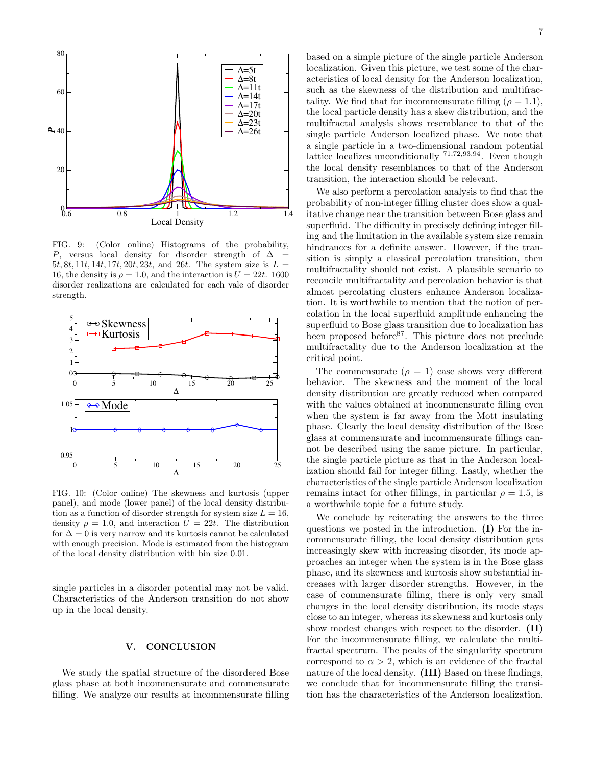

FIG. 9: (Color online) Histograms of the probability, P, versus local density for disorder strength of  $\Delta$ 5t, 8t, 11t, 14t, 17t, 20t, 23t, and 26t. The system size is  $L =$ 16, the density is  $\rho = 1.0$ , and the interaction is  $U = 22t$ . 1600 disorder realizations are calculated for each vale of disorder strength.



FIG. 10: (Color online) The skewness and kurtosis (upper panel), and mode (lower panel) of the local density distribution as a function of disorder strength for system size  $L = 16$ , density  $\rho = 1.0$ , and interaction  $U = 22t$ . The distribution for  $\Delta = 0$  is very narrow and its kurtosis cannot be calculated with enough precision. Mode is estimated from the histogram of the local density distribution with bin size 0.01.

single particles in a disorder potential may not be valid. Characteristics of the Anderson transition do not show up in the local density.

#### V. CONCLUSION

We study the spatial structure of the disordered Bose glass phase at both incommensurate and commensurate filling. We analyze our results at incommensurate filling 7

based on a simple picture of the single particle Anderson localization. Given this picture, we test some of the characteristics of local density for the Anderson localization, such as the skewness of the distribution and multifractality. We find that for incommensurate filling ( $\rho = 1.1$ ), the local particle density has a skew distribution, and the multifractal analysis shows resemblance to that of the single particle Anderson localized phase. We note that a single particle in a two-dimensional random potential lattice localizes unconditionally 71,72,93,94. Even though the local density resemblances to that of the Anderson transition, the interaction should be relevant.

We also perform a percolation analysis to find that the probability of non-integer filling cluster does show a qualitative change near the transition between Bose glass and superfluid. The difficulty in precisely defining integer filling and the limitation in the available system size remain hindrances for a definite answer. However, if the transition is simply a classical percolation transition, then multifractality should not exist. A plausible scenario to reconcile multifractality and percolation behavior is that almost percolating clusters enhance Anderson localization. It is worthwhile to mention that the notion of percolation in the local superfluid amplitude enhancing the superfluid to Bose glass transition due to localization has been proposed before<sup>87</sup>. This picture does not preclude multifractality due to the Anderson localization at the critical point.

The commensurate  $(\rho = 1)$  case shows very different behavior. The skewness and the moment of the local density distribution are greatly reduced when compared with the values obtained at incommensurate filling even when the system is far away from the Mott insulating phase. Clearly the local density distribution of the Bose glass at commensurate and incommensurate fillings cannot be described using the same picture. In particular, the single particle picture as that in the Anderson localization should fail for integer filling. Lastly, whether the characteristics of the single particle Anderson localization remains intact for other fillings, in particular  $\rho = 1.5$ , is a worthwhile topic for a future study.

We conclude by reiterating the answers to the three questions we posted in the introduction. (I) For the incommensurate filling, the local density distribution gets increasingly skew with increasing disorder, its mode approaches an integer when the system is in the Bose glass phase, and its skewness and kurtosis show substantial increases with larger disorder strengths. However, in the case of commensurate filling, there is only very small changes in the local density distribution, its mode stays close to an integer, whereas its skewness and kurtosis only show modest changes with respect to the disorder. (II) For the incommensurate filling, we calculate the multifractal spectrum. The peaks of the singularity spectrum correspond to  $\alpha > 2$ , which is an evidence of the fractal nature of the local density. (III) Based on these findings, we conclude that for incommensurate filling the transition has the characteristics of the Anderson localization.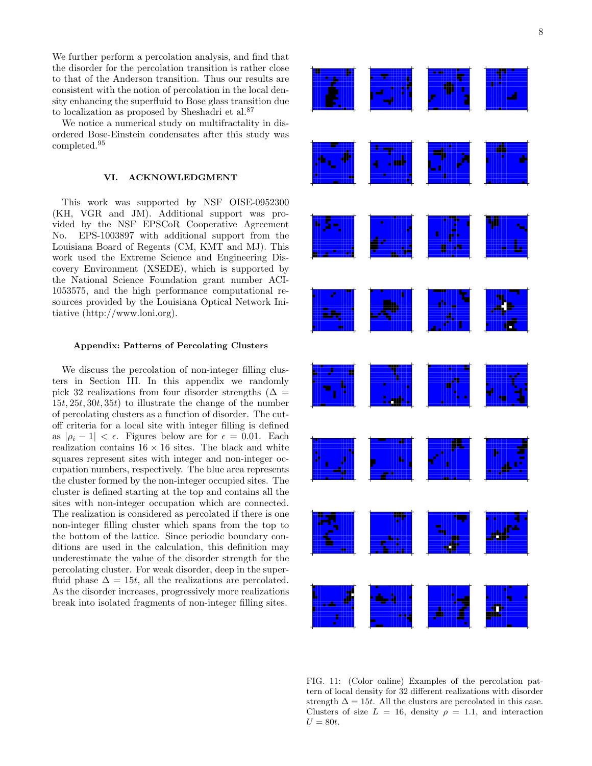We further perform a percolation analysis, and find that the disorder for the percolation transition is rather close to that of the Anderson transition. Thus our results are consistent with the notion of percolation in the local density enhancing the superfluid to Bose glass transition due to localization as proposed by Sheshadri et al.<sup>87</sup>

We notice a numerical study on multifractality in disordered Bose-Einstein condensates after this study was completed.<sup>95</sup>

#### VI. ACKNOWLEDGMENT

This work was supported by NSF OISE-0952300 (KH, VGR and JM). Additional support was provided by the NSF EPSCoR Cooperative Agreement No. EPS-1003897 with additional support from the Louisiana Board of Regents (CM, KMT and MJ). This work used the Extreme Science and Engineering Discovery Environment (XSEDE), which is supported by the National Science Foundation grant number ACI-1053575, and the high performance computational resources provided by the Louisiana Optical Network Initiative (http://www.loni.org).

#### Appendix: Patterns of Percolating Clusters

We discuss the percolation of non-integer filling clusters in Section III. In this appendix we randomly pick 32 realizations from four disorder strengths ( $\Delta =$  $15t, 25t, 30t, 35t$  to illustrate the change of the number of percolating clusters as a function of disorder. The cutoff criteria for a local site with integer filling is defined as  $|\rho_i - 1| < \epsilon$ . Figures below are for  $\epsilon = 0.01$ . Each realization contains  $16 \times 16$  sites. The black and white squares represent sites with integer and non-integer occupation numbers, respectively. The blue area represents the cluster formed by the non-integer occupied sites. The cluster is defined starting at the top and contains all the sites with non-integer occupation which are connected. The realization is considered as percolated if there is one non-integer filling cluster which spans from the top to the bottom of the lattice. Since periodic boundary conditions are used in the calculation, this definition may underestimate the value of the disorder strength for the percolating cluster. For weak disorder, deep in the superfluid phase  $\Delta = 15t$ , all the realizations are percolated. As the disorder increases, progressively more realizations break into isolated fragments of non-integer filling sites.



FIG. 11: (Color online) Examples of the percolation pattern of local density for 32 different realizations with disorder strength  $\Delta = 15t$ . All the clusters are percolated in this case. Clusters of size  $L = 16$ , density  $\rho = 1.1$ , and interaction  $U = 80t$ .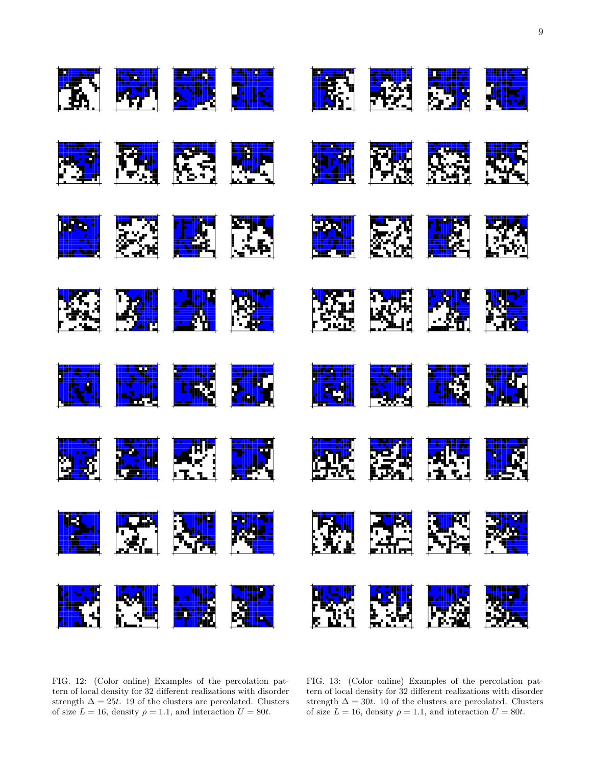

FIG. 12: (Color online) Examples of the percolation pattern of local density for 32 different realizations with disorder strength  $\Delta = 25t$ . 19 of the clusters are percolated. Clusters of size  $L = 16$ , density  $\rho = 1.1$ , and interaction  $U = 80t$ .

FIG. 13: (Color online) Examples of the percolation pattern of local density for 32 different realizations with disorder strength  $\Delta = 30t$ . 10 of the clusters are percolated. Clusters of size  $L = 16$ , density  $\rho = 1.1$ , and interaction  $U = 80t$ .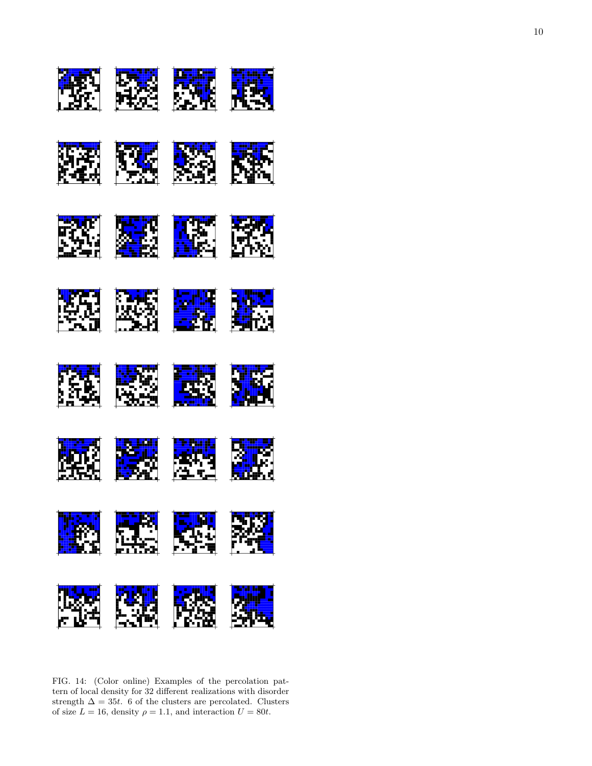

FIG. 14: (Color online) Examples of the percolation pattern of local density for 32 different realizations with disorder strength  $\Delta = 35t$ . 6 of the clusters are percolated. Clusters of size  $L = 16$ , density  $\rho = 1.1$ , and interaction  $U = 80t$ .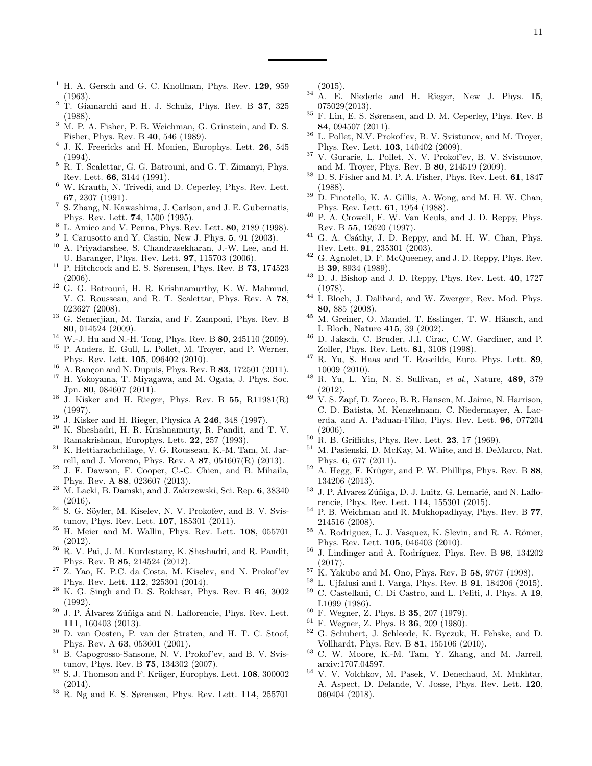- $1$  H. A. Gersch and G. C. Knollman, Phys. Rev.  $129$ ,  $959$ (1963).
- <sup>2</sup> T. Giamarchi and H. J. Schulz, Phys. Rev. B 37, 325 (1988).
- $3\,$  M. P. A. Fisher, P. B. Weichman, G. Grinstein, and D. S. Fisher, Phys. Rev. B 40, 546 (1989).
- <sup>4</sup> J. K. Freericks and H. Monien, Europhys. Lett. **26**, 545 (1994).
- <sup>5</sup> R. T. Scalettar, G. G. Batrouni, and G. T. Zimanyi, Phys. Rev. Lett. 66, 3144 (1991).
- <sup>6</sup> W. Krauth, N. Trivedi, and D. Ceperley, Phys. Rev. Lett. 67, 2307 (1991).
- <sup>7</sup> S. Zhang, N. Kawashima, J. Carlson, and J. E. Gubernatis, Phys. Rev. Lett. 74, 1500 (1995).
- <sup>8</sup> L. Amico and V. Penna, Phys. Rev. Lett. 80, 2189 (1998).
- $9$  I. Carusotto and Y. Castin, New J. Phys.  $5, 91$  (2003).
- <sup>10</sup> A. Priyadarshee, S. Chandrasekharan, J.-W. Lee, and H. U. Baranger, Phys. Rev. Lett. 97, 115703 (2006).
- $^{11}$  P. Hitchcock and E. S. Sørensen, Phys. Rev. B  $\bf 73,$  174523 (2006).
- <sup>12</sup> G. G. Batrouni, H. R. Krishnamurthy, K. W. Mahmud, V. G. Rousseau, and R. T. Scalettar, Phys. Rev. A 78, 023627 (2008).
- <sup>13</sup> G. Semerjian, M. Tarzia, and F. Zamponi, Phys. Rev. B 80, 014524 (2009).
- <sup>14</sup> W.-J. Hu and N.-H. Tong, Phys. Rev. B 80, 245110 (2009).
- <sup>15</sup> P. Anders, E. Gull, L. Pollet, M. Troyer, and P. Werner, Phys. Rev. Lett. 105, 096402 (2010).
- $16$  A. Rançon and N. Dupuis, Phys. Rev. B 83, 172501 (2011).
- <sup>17</sup> H. Yokoyama, T. Miyagawa, and M. Ogata, J. Phys. Soc. Jpn. 80, 084607 (2011).
- $18$  J. Kisker and H. Rieger, Phys. Rev. B 55, R11981(R) (1997).
- <sup>19</sup> J. Kisker and H. Rieger, Physica A **246**, 348 (1997).<br><sup>20</sup> K. Shoshadri H. B. Krishnamurty, B. Pandit, and '
- K. Sheshadri, H. R. Krishnamurty, R. Pandit, and T. V. Ramakrishnan, Europhys. Lett. 22, 257 (1993).
- <sup>21</sup> K. Hettiarachchilage, V. G. Rousseau, K.-M. Tam, M. Jarrell, and J. Moreno, Phys. Rev. A 87, 051607(R) (2013).
- <sup>22</sup> J. F. Dawson, F. Cooper, C.-C. Chien, and B. Mihaila, Phys. Rev. A 88, 023607 (2013).
- <sup>23</sup> M. Lacki, B. Damski, and J. Zakrzewski, Sci. Rep. 6, 38340 (2016).
- $24$  S. G. Söyler, M. Kiselev, N. V. Prokofev, and B. V. Svistunov, Phys. Rev. Lett. 107, 185301 (2011).
- <sup>25</sup> H. Meier and M. Wallin, Phys. Rev. Lett. 108, 055701 (2012).
- $^{26}$  R. V. Pai, J. M. Kurdestany, K. Sheshadri, and R. Pandit, Phys. Rev. B 85, 214524 (2012).
- <sup>27</sup> Z. Yao, K. P.C. da Costa, M. Kiselev, and N. Prokof'ev Phys. Rev. Lett. 112, 225301 (2014).
- <sup>28</sup> K. G. Singh and D. S. Rokhsar, Phys. Rev. B 46, 3002 (1992).
- $29$  J. P. Álvarez Zúñiga and N. Laflorencie, Phys. Rev. Lett. 111, 160403 (2013).
- <sup>30</sup> D. van Oosten, P. van der Straten, and H. T. C. Stoof, Phys. Rev. A 63, 053601 (2001).
- <sup>31</sup> B. Capogrosso-Sansone, N. V. Prokof'ev, and B. V. Svistunov, Phys. Rev. B 75, 134302 (2007).
- $32$  S. J. Thomson and F. Krüger, Europhys. Lett. 108, 300002 (2014).
- $33$  R. Ng and E. S. Sørensen, Phys. Rev. Lett. 114, 255701

(2015).

- $34$  A. E. Niederle and H. Rieger, New J. Phys. 15, 075029(2013).
- $^{35}$  F. Lin, E. S. Sørensen, and D. M. Ceperley, Phys. Rev. B 84, 094507 (2011).
- <sup>36</sup> L. Pollet, N.V. Prokof'ev, B. V. Svistunov, and M. Troyer, Phys. Rev. Lett. 103, 140402 (2009).
- <sup>37</sup> V. Gurarie, L. Pollet, N. V. Prokof'ev, B. V. Svistunov, and M. Troyer, Phys. Rev. B 80, 214519 (2009).
- $38$  D. S. Fisher and M. P. A. Fisher, Phys. Rev. Lett. 61, 1847 (1988).
- <sup>39</sup> D. Finotello, K. A. Gillis, A. Wong, and M. H. W. Chan, Phys. Rev. Lett. 61, 1954 (1988).
- <sup>40</sup> P. A. Crowell, F. W. Van Keuls, and J. D. Reppy, Phys. Rev. B 55, 12620 (1997).
- $41$  G. A. Csathy, J. D. Reppy, and M. H. W. Chan, Phys. Rev. Lett. 91, 235301 (2003).
- <sup>42</sup> G. Agnolet, D. F. McQueeney, and J. D. Reppy, Phys. Rev. B 39, 8934 (1989).
- <sup>43</sup> D. J. Bishop and J. D. Reppy, Phys. Rev. Lett. 40, 1727 (1978).
- <sup>44</sup> I. Bloch, J. Dalibard, and W. Zwerger, Rev. Mod. Phys. 80, 885 (2008).
- $45$  M. Greiner, O. Mandel, T. Esslinger, T. W. Hänsch, and I. Bloch, Nature 415, 39 (2002).
- <sup>46</sup> D. Jaksch, C. Bruder, J.I. Cirac, C.W. Gardiner, and P. Zoller, Phys. Rev. Lett. 81, 3108 (1998).
- $47$  R. Yu, S. Haas and T. Roscilde, Euro. Phys. Lett. 89, 10009 (2010).
- $48$  R. Yu, L. Yin, N. S. Sullivan, et al., Nature, 489, 379 (2012).
- <sup>49</sup> V. S. Zapf, D. Zocco, B. R. Hansen, M. Jaime, N. Harrison, C. D. Batista, M. Kenzelmann, C. Niedermayer, A. Lacerda, and A. Paduan-Filho, Phys. Rev. Lett. 96, 077204 (2006).
- $^{50}$  R. B. Griffiths, Phys. Rev. Lett. **23**, 17 (1969).
- <sup>51</sup> M. Pasienski, D. McKay, M. White, and B. DeMarco, Nat. Phys. 6, 677 (2011).
- $52$  A. Hegg, F. Krüger, and P. W. Phillips, Phys. Rev. B 88, 134206 (2013).
- <sup>53</sup> J. P. Álvarez Zúñiga, D. J. Luitz, G. Lemarié, and N. Laflorencie, Phys. Rev. Lett. 114, 155301 (2015).
- <sup>54</sup> P. B. Weichman and R. Mukhopadhyay, Phys. Rev. B 77, 214516 (2008).
- <sup>55</sup> A. Rodriguez, L. J. Vasquez, K. Slevin, and R. A. Römer, Phys. Rev. Lett. 105, 046403 (2010).
- $56$  J. Lindinger and A. Rodríguez, Phys. Rev. B  $96$ ,  $134202$ (2017).
- $^{57}$  K. Yakubo and M. Ono, Phys. Rev. B 58, 9767 (1998).<br> $^{58}$  L. Hifalusi and L. Varga, Phys. Rev. B **91**, 184906 (2011)
- <sup>58</sup> L. Ujfalusi and I. Varga, Phys. Rev. B **91**, 184206 (2015).<br><sup>59</sup> C. Castallani, C. Di Castro, and L. Politi, J. Phys. A **19**
- <sup>59</sup> C. Castellani, C. Di Castro, and L. Peliti, J. Phys. A 19, L1099 (1986).
- <sup>60</sup> F. Wegner, Z. Phys. B 35, 207 (1979).
- <sup>61</sup> F. Wegner, Z. Phys. B 36, 209 (1980).
- <sup>62</sup> G. Schubert, J. Schleede, K. Byczuk, H. Fehske, and D. Vollhardt, Phys. Rev. B 81, 155106 (2010).
- <sup>63</sup> C. W. Moore, K.-M. Tam, Y. Zhang, and M. Jarrell, arxiv:1707.04597.
- <sup>64</sup> V. V. Volchkov, M. Pasek, V. Denechaud, M. Mukhtar, A. Aspect, D. Delande, V. Josse, Phys. Rev. Lett. 120, 060404 (2018).